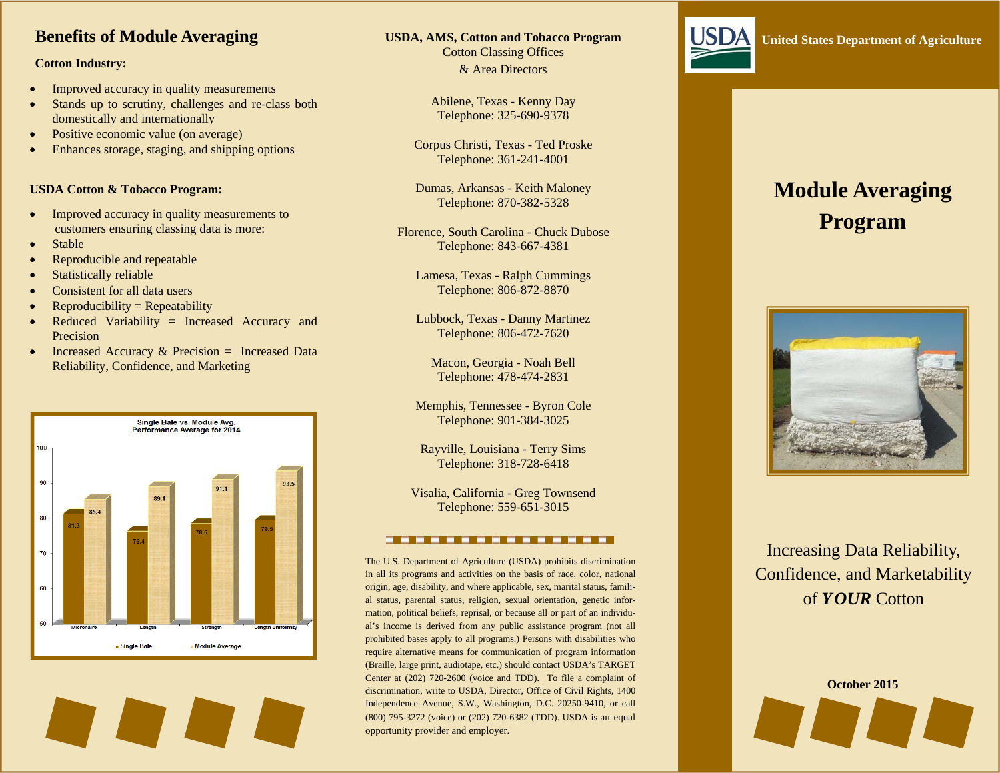### **Benefits of Module Averaging**

#### **Cotton Industry:**

- $\bullet$ Improved accuracy in quality measurements
- $\bullet$  Stands up to scrutiny, challenges and re-class both domestically and internationally
- $\bullet$ Positive economic value (on average)
- $\bullet$ Enhances storage, staging, and shipping options

#### **USDA Cotton & Tobacco Program:**

- $\bullet$  Improved accuracy in quality measurements to customers ensuring classing data is more:
- $\bullet$ Stable
- $\bullet$ Reproducible and repeatable
- $\bullet$ Statistically reliable
- $\bullet$ Consistent for all data users
- $\bullet$  $Reproductibility = Repeatedibility$
- $\bullet$  Reduced Variability = Increased Accuracy and Precision
- $\bullet$ Increased Accuracy  $&$  Precision = Increased Data Reliability, Confidence, and Marketing



#### **USDA, AMS, Cotton and Tobacco Program**

Abilene, Texas - Kenny Day Telephone: 325-690-9378

Corpus Christi, Texas - Ted Proske Telephone: 361-241-4001

Dumas, Arkansas - Keith Maloney Telephone: 870-382-5328

Florence, South Carolina - Chuck Dubose Telephone: 843-667-4381

Lamesa, Texas - Ralph Cummings Telephone: 806-872-8870

Lubbock, Texas - Danny Martinez Telephone: 806-472-7620

Macon, Georgia - Noah Bell Telephone: 478-474-2831

Memphis, Tennessee - Byron Cole Telephone: 901-384-3025

Rayville, Louisiana - Terry Sims Telephone: 318-728-6418

Visalia, California - Greg Townsend Telephone: 559-651-3015

The U.S. Department of Agriculture (USDA) prohibits discrimination in all its programs and activities on the basis of race, color, national origin, age, disability, and where applicable, sex, marital status, familial status, parental status, religion, sexual orientation, genetic information, political beliefs, reprisal, or because all or part of an individu-

<u>a da basan da basan da basa</u>

Cotton Classing Offices & Area Directors

# **Module Averaging Program**



# Increasing Data Reliability, Confidence, and Marketability of *YOUR* Cotton

**October 2015** 

#### al's income is derived from any public assistance program (not all prohibited bases apply to all programs.) Persons with disabilities who require alternative means for communication of program information (Braille, large print, audiotape, etc.) should contact USDA's TARGET Center at (202) 720-2600 (voice and TDD). To file a complaint of discrimination, write to USDA, Director, Office of Civil Rights, 1400 Independence Avenue, S.W., Washington, D.C. 20250-9410, or call (800) 795-3272 (voice) or (202) 720-6382 (TDD). USDA is an equal opportunity provider and employer.